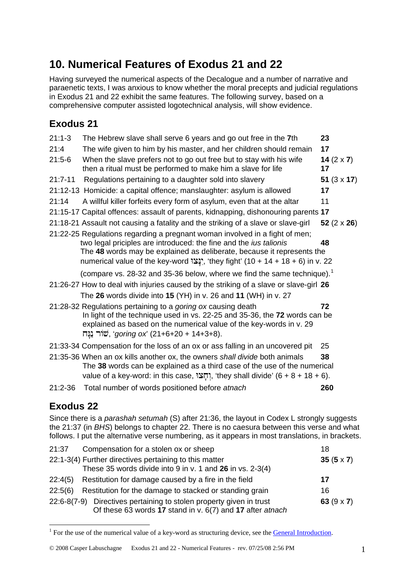## **10. Numerical Features of Exodus 21 and 22**

Having surveyed the numerical aspects of the Decalogue and a number of narrative and paraenetic texts, I was anxious to know whether the moral precepts and judicial regulations in Exodus 21 and 22 exhibit the same features. The following survey, based on a comprehensive computer assisted logotechnical analysis, will show evidence.

## **Exodus 21**

| $21:1-3$    | The Hebrew slave shall serve 6 years and go out free in the 7th                                                                                                                                                                                                                                                 | 23                      |
|-------------|-----------------------------------------------------------------------------------------------------------------------------------------------------------------------------------------------------------------------------------------------------------------------------------------------------------------|-------------------------|
| 21:4        | The wife given to him by his master, and her children should remain                                                                                                                                                                                                                                             | 17                      |
| $21:5-6$    | When the slave prefers not to go out free but to stay with his wife<br>then a ritual must be performed to make him a slave for life                                                                                                                                                                             | 14 $(2 \times 7)$<br>17 |
| $21:7 - 11$ | Regulations pertaining to a daughter sold into slavery                                                                                                                                                                                                                                                          | 51 $(3 \times 17)$      |
|             | 21:12-13 Homicide: a capital offence; manslaughter: asylum is allowed                                                                                                                                                                                                                                           | 17                      |
| 21:14       | A willful killer forfeits every form of asylum, even that at the altar                                                                                                                                                                                                                                          | 11                      |
|             | 21:15-17 Capital offences: assault of parents, kidnapping, dishonouring parents 17                                                                                                                                                                                                                              |                         |
|             | 21:18-21 Assault not causing a fatality and the striking of a slave or slave-girl                                                                                                                                                                                                                               | 52 $(2 \times 26)$      |
|             | 21:22-25 Regulations regarding a pregnant woman involved in a fight of men;<br>two legal priciples are introduced: the fine and the ius talionis<br>The 48 words may be explained as deliberate, because it represents the<br>numerical value of the key-word :"إلا ", 'they fight' (10 + 14 + 18 + 6) in v. 22 | 48                      |
|             | (compare vs. 28-32 and 35-36 below, where we find the same technique). <sup>1</sup>                                                                                                                                                                                                                             |                         |
|             | 21:26-27 How to deal with injuries caused by the striking of a slave or slave-girl 26                                                                                                                                                                                                                           |                         |
|             | The 26 words divide into 15 (YH) in v. 26 and 11 (WH) in v. 27                                                                                                                                                                                                                                                  |                         |
|             | 21:28-32 Regulations pertaining to a <i>goring ox</i> causing death<br>In light of the technique used in vs. 22-25 and 35-36, the 72 words can be<br>explained as based on the numerical value of the key-words in v. 29<br>שׂור נַנָּח (21+6+20 + 14+3+8).                                                     | 72                      |
|             | 21:33-34 Compensation for the loss of an ox or ass falling in an uncovered pit                                                                                                                                                                                                                                  | 25                      |
|             | 21:35-36 When an ox kills another ox, the owners shall divide both animals<br>The 38 words can be explained as a third case of the use of the numerical<br>value of a key-word: in this case, יְחָצוּ, 'they shall divide' $(6 + 8 + 18 + 6)$ .                                                                 | 38                      |
| $21:2-36$   | Total number of words positioned before atnach                                                                                                                                                                                                                                                                  | 260                     |

## **Exodus 22**

1

Since there is a *parashah setumah* (S) after 21:36, the layout in Codex L strongly suggests the 21:37 (in *BHS*) belongs to chapter 22. There is no caesura between this verse and what follows. I put the alternative verse numbering, as it appears in most translations, in brackets.

| 21:37   | Compensation for a stolen ox or sheep                                                                                            | 18                |
|---------|----------------------------------------------------------------------------------------------------------------------------------|-------------------|
|         | 22:1-3(4) Further directives pertaining to this matter                                                                           | 35 $(5 \times 7)$ |
|         | These 35 words divide into 9 in v. 1 and $26$ in vs. 2-3(4)                                                                      |                   |
|         | $22:4(5)$ Restitution for damage caused by a fire in the field                                                                   | 17                |
| 22:5(6) | Restitution for the damage to stacked or standing grain                                                                          |                   |
|         | 22:6-8(7-9) Directives pertaining to stolen property given in trust<br>Of these 63 words 17 stand in v. 6(7) and 17 after atnach | 63 $(9 \times 7)$ |

<span id="page-0-0"></span><sup>&</sup>lt;sup>1</sup> For the use of the numerical value of a key-word as structuring device, see the **General Introduction**.